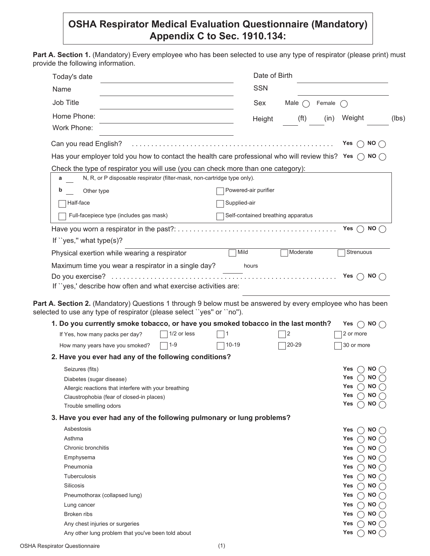## **OSHA Respirator Medical Evaluation Questionnaire (Mandatory) Appendix C to Sec. 1910.134:**

Part A. Section 1. (Mandatory) Every employee who has been selected to use any type of respirator (please print) must provide the following information.

| Today's date                                                                                                                                              | Date of Birth                                                                                                             |
|-----------------------------------------------------------------------------------------------------------------------------------------------------------|---------------------------------------------------------------------------------------------------------------------------|
| Name                                                                                                                                                      | <b>SSN</b>                                                                                                                |
| Job Title                                                                                                                                                 | Sex<br>Male $\bigcap$<br>Female                                                                                           |
| Home Phone:                                                                                                                                               |                                                                                                                           |
| Work Phone:                                                                                                                                               | (f <sup>t</sup> )<br>Weight<br>(in)<br>Height                                                                             |
| Can you read English?                                                                                                                                     | NO()<br>Yes                                                                                                               |
|                                                                                                                                                           | Has your employer told you how to contact the health care professional who will review this? Yes $\bigcirc$ NO $\bigcirc$ |
| Check the type of respirator you will use (you can check more than one category):                                                                         |                                                                                                                           |
| N, R, or P disposable respirator (filter-mask, non-cartridge type only).<br>а                                                                             |                                                                                                                           |
| Other type<br>b                                                                                                                                           | Powered-air purifier                                                                                                      |
| Half-face                                                                                                                                                 | Supplied-air                                                                                                              |
|                                                                                                                                                           |                                                                                                                           |
| Full-facepiece type (includes gas mask)                                                                                                                   | Self-contained breathing apparatus                                                                                        |
|                                                                                                                                                           | <b>NO</b><br>Yes                                                                                                          |
| If "yes," what type $(s)$ ?                                                                                                                               |                                                                                                                           |
| Physical exertion while wearing a respirator                                                                                                              | Mild<br>Moderate<br>Strenuous                                                                                             |
| Maximum time you wear a respirator in a single day?                                                                                                       | hours                                                                                                                     |
|                                                                                                                                                           |                                                                                                                           |
|                                                                                                                                                           | Yes $\bigcap$ NO $\bigcap$                                                                                                |
|                                                                                                                                                           |                                                                                                                           |
| If "yes,' describe how often and what exercise activities are:                                                                                            | Part A. Section 2. (Mandatory) Questions 1 through 9 below must be answered by every employee who has been                |
| selected to use any type of respirator (please select "yes" or "no").<br>1. Do you currently smoke tobacco, or have you smoked tobacco in the last month? | Yes $\bigcap$ NO $\bigcap$                                                                                                |
| 1/2 or less<br>If Yes, how many packs per day?                                                                                                            | 2 or more<br>2                                                                                                            |
| $1 - 9$<br>How many years have you smoked?                                                                                                                | 20-29<br>$10 - 19$<br>30 or more                                                                                          |
| 2. Have you ever had any of the following conditions?                                                                                                     |                                                                                                                           |
| Seizures (fits)                                                                                                                                           | Yes<br>NO.                                                                                                                |
| Diabetes (sugar disease)                                                                                                                                  | Yes<br><b>NO</b>                                                                                                          |
| Allergic reactions that interfere with your breathing                                                                                                     | Yes<br><b>NO</b>                                                                                                          |
| Claustrophobia (fear of closed-in places)                                                                                                                 | <b>NO</b><br>Yes                                                                                                          |
| Trouble smelling odors                                                                                                                                    | Yes<br><b>NO</b>                                                                                                          |
| 3. Have you ever had any of the following pulmonary or lung problems?                                                                                     |                                                                                                                           |
| Asbestosis                                                                                                                                                | <b>NO</b><br>Yes                                                                                                          |
| Asthma                                                                                                                                                    | <b>NO</b><br>Yes                                                                                                          |
| Chronic bronchitis                                                                                                                                        | <b>NO</b><br>Yes                                                                                                          |
| Emphysema                                                                                                                                                 | <b>NO</b><br>Yes                                                                                                          |
| Pneumonia                                                                                                                                                 | <b>NO</b><br>Yes                                                                                                          |
| Tuberculosis                                                                                                                                              | <b>NO</b><br>Yes                                                                                                          |
| Silicosis                                                                                                                                                 | <b>NO</b><br>Yes                                                                                                          |
| Pneumothorax (collapsed lung)                                                                                                                             | Yes<br><b>NO</b>                                                                                                          |
| Lung cancer                                                                                                                                               | Yes<br><b>NO</b>                                                                                                          |
| Broken ribs                                                                                                                                               | <b>NO</b><br>Yes                                                                                                          |
| Any chest injuries or surgeries                                                                                                                           | <b>NO</b><br>Yes                                                                                                          |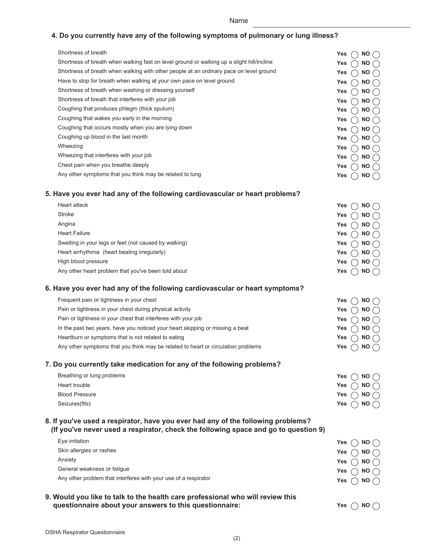| . .<br>×<br>×<br>۰, |
|---------------------|
|---------------------|

## **4. Do you currently have any of the following symptoms of pulmonary or lung illness?**

| Shortness of breath                                                                                                                                                     | Yes<br><b>NO</b>              |           |
|-------------------------------------------------------------------------------------------------------------------------------------------------------------------------|-------------------------------|-----------|
| Shortness of breath when walking fast on level ground or walking up a slight hill/incline                                                                               | <b>NO</b><br>Yes              |           |
| Shortness of breath when walking with other people at an ordinary pace on level ground                                                                                  | Yes<br><b>NO</b>              |           |
| Have to stop for breath when walking at your own pace on level ground                                                                                                   | Yes<br><b>NO</b>              |           |
| Shortness of breath when washing or dressing yourself                                                                                                                   | <b>NO</b><br>Yes              |           |
| Shortness of breath that interferes with your job                                                                                                                       | <b>NO</b><br>Yes              |           |
| Coughing that produces phlegm (thick sputum)                                                                                                                            | Yes<br><b>NO</b>              |           |
| Coughing that wakes you early in the morning                                                                                                                            | <b>NO</b><br>Yes              |           |
| Coughing that occurs mostly when you are lying down                                                                                                                     | <b>NO</b><br>Yes              |           |
| Coughing up blood in the last month                                                                                                                                     | <b>NO</b><br>Yes              |           |
| Wheezing                                                                                                                                                                | <b>NO</b><br>Yes              |           |
| Wheezing that interferes with your job                                                                                                                                  | Yes<br><b>NO</b>              |           |
| Chest pain when you breathe deeply                                                                                                                                      | Yes<br><b>NO</b>              |           |
| Any other symptoms that you think may be related to lung                                                                                                                | <b>NO</b><br>Yes              |           |
| 5. Have you ever had any of the following cardiovascular or heart problems?                                                                                             |                               |           |
| Heart attack                                                                                                                                                            | Yes<br><b>NO</b>              |           |
| Stroke                                                                                                                                                                  | <b>NO</b><br>Yes              |           |
| Angina                                                                                                                                                                  | <b>NO</b><br>Yes              |           |
| <b>Heart Failure</b>                                                                                                                                                    | Yes<br><b>NO</b>              |           |
| Swelling in your legs or feet (not caused by walking)                                                                                                                   | <b>NO</b><br>Yes              |           |
| Heart arrhythmia (heart beating irregularly)                                                                                                                            | Yes<br><b>NO</b>              |           |
| High blood pressure                                                                                                                                                     | Yes<br><b>NO</b>              |           |
| Any other heart problem that you've been told about                                                                                                                     | <b>NO</b><br>Yes              |           |
| 6. Have you ever had any of the following cardiovascular or heart symptoms?                                                                                             |                               |           |
| Frequent pain or tightness in your chest                                                                                                                                | <b>NO</b><br>Yes              |           |
| Pain or tightness in your chest during physical activity                                                                                                                | Yes<br><b>NO</b>              |           |
| Pain or tightness in your chest that interferes with your job                                                                                                           | <b>NO</b><br>Yes              |           |
| In the past two years, have you noticed your heart skipping or missing a beat                                                                                           | Yes<br><b>NO</b>              |           |
| Heartburn or symptoms that is not related to eating                                                                                                                     | Yes<br><b>NO</b>              |           |
| Any other symptoms that you think may be related to heart or circulation problems                                                                                       | Yes<br><b>NO</b>              |           |
| 7. Do you currently take medication for any of the following problems?                                                                                                  |                               |           |
| Breathing or lung problems                                                                                                                                              | Yes                           | $NO \cap$ |
| Heart trouble                                                                                                                                                           | Yes                           | $NO \cap$ |
| <b>Blood Pressure</b>                                                                                                                                                   | <b>NO</b><br>Yes              |           |
| Seizures(fits)                                                                                                                                                          | Yes                           | $NO \cap$ |
| 8. If you've used a respirator, have you ever had any of the following problems?<br>(If you've never used a respirator, check the following space and go to question 9) |                               |           |
| Eye irritation                                                                                                                                                          | $\bigcap$ NO $\bigcap$<br>Yes |           |
| Skin allergies or rashes                                                                                                                                                |                               |           |
| Anxiety                                                                                                                                                                 | $\cap$ NO $\cap$<br>Yes       |           |
| General weakness or fatigue                                                                                                                                             | Yes                           | $NO \cap$ |
| Any other problem that interferes with your use of a respirator                                                                                                         | NO.<br>Yes                    |           |
|                                                                                                                                                                         | NO(<br>Yes                    |           |
| 9. Would you like to talk to the health care professional who will review this                                                                                          |                               |           |
| questionnaire about your answers to this questionnaire:                                                                                                                 | Yes                           | NO (      |